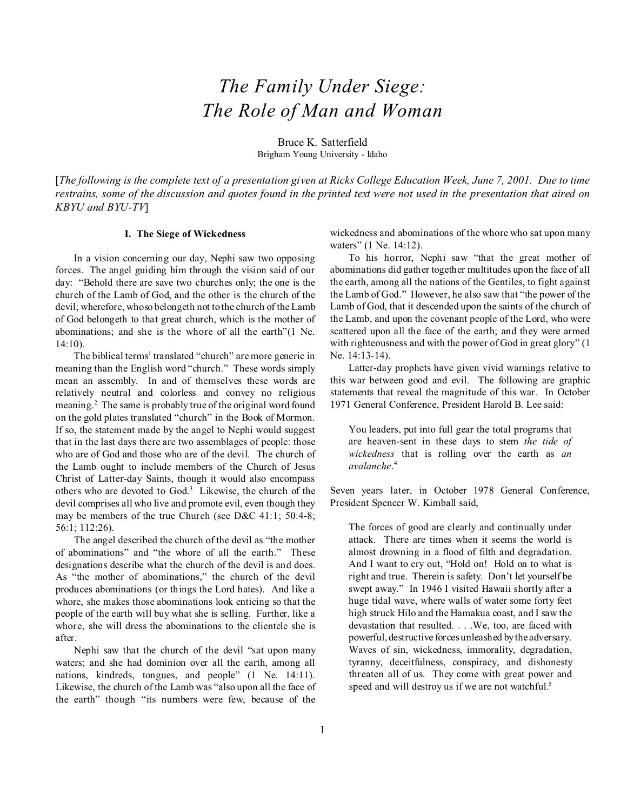# *The Family Under Siege: The Role of Man and Woman*

Bruce K. Satterfield Brigham Young University - Idaho

[*The following is the complete text of a presentation given at Ricks College Education Week, June 7, 2001. Due to time restrains, some of the discussion and quotes found in the printed text were not used in the presentation that aired on KBYU and BYU-TV*]

## **I. The Siege of Wickedness**

In a vision concerning our day, Nephi saw two opposing forces. The angel guiding him through the vision said of our day: "Behold there are save two churches only; the one is the church of the Lamb of God, and the other is the church of the devil; wherefore, whoso belongeth not to the church of the Lamb of God belongeth to that great church, which is the mother of abominations; and she is the whore of all the earth"(1 Ne. 14:10).

The biblical terms<sup>1</sup> translated "church" are more generic in meaning than the English word "church." These words simply mean an assembly. In and of themselves these words are relatively neutral and colorless and convey no religious meaning.<sup>2</sup> The same is probably true of the original word found on the gold plates translated "church" in the Book of Mormon. If so, the statement made by the angel to Nephi would suggest that in the last days there are two assemblages of people: those who are of God and those who are of the devil. The church of the Lamb ought to include members of the Church of Jesus Christ of Latter-day Saints, though it would also encompass others who are devoted to God.<sup>3</sup> Likewise, the church of the devil comprises all who live and promote evil, even though they may be members of the true Church (see D&C 41:1; 50:4-8; 56:1; 112:26).

The angel described the church of the devil as "the mother of abominations" and "the whore of all the earth." These designations describe what the church of the devil is and does. As "the mother of abominations," the church of the devil produces abominations (or things the Lord hates). And like a whore, she makes those abominations look enticing so that the people of the earth will buy what she is selling. Further, like a whore, she will dress the abominations to the clientele she is after.

Nephi saw that the church of the devil "sat upon many waters; and she had dominion over all the earth, among all nations, kindreds, tongues, and people" (1 Ne. 14:11). Likewise, the church of the Lamb was "also upon all the face of the earth" though "its numbers were few, because of the

wickedness and abominations of the whore who sat upon many waters" (1 Ne. 14:12).

To his horror, Nephi saw "that the great mother of abominations did gather together multitudes upon the face of all the earth, among all the nations of the Gentiles, to fight against the Lamb of God." However, he also saw that "the power of the Lamb of God, that it descended upon the saints of the church of the Lamb, and upon the covenant people of the Lord, who were scattered upon all the face of the earth; and they were armed with righteousness and with the power of God in great glory" (1 Ne. 14:13-14).

Latter-day prophets have given vivid warnings relative to this war between good and evil. The following are graphic statements that reveal the magnitude of this war. In October 1971 General Conference, President Harold B. Lee said:

You leaders, put into full gear the total programs that are heaven-sent in these days to stem *the tide of wickedness* that is rolling over the earth as *an avalanche*. 4

Seven years later, in October 1978 General Conference, President Spencer W. Kimball said,

The forces of good are clearly and continually under attack. There are times when it seems the world is almost drowning in a flood of filth and degradation. And I want to cry out, "Hold on! Hold on to what is right and true. Therein is safety. Don't let yourself be swept away." In 1946 I visited Hawaii shortly after a huge tidal wave, where walls of water some forty feet high struck Hilo and the Hamakua coast, and I saw the devastation that resulted. . . .We, too, are faced with powerful, destructive forces unleashed by the adversary. Waves of sin, wickedness, immorality, degradation, tyranny, deceitfulness, conspiracy, and dishonesty threaten all of us. They come with great power and speed and will destroy us if we are not watchful.<sup>5</sup>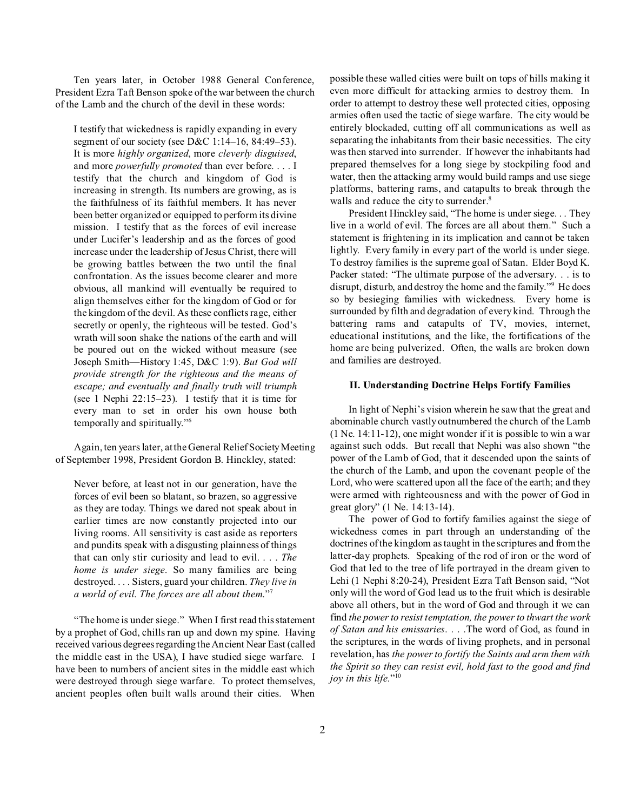Ten years later, in October 1988 General Conference, President Ezra Taft Benson spoke of the war between the church of the Lamb and the church of the devil in these words:

I testify that wickedness is rapidly expanding in every segment of our society (see D&C 1:14–16, 84:49–53). It is more *highly organized*, more *cleverly disguised*, and more *powerfully promoted* than ever before. . . . I testify that the church and kingdom of God is increasing in strength. Its numbers are growing, as is the faithfulness of its faithful members. It has never been better organized or equipped to perform its divine mission. I testify that as the forces of evil increase under Lucifer's leadership and as the forces of good increase under the leadership of Jesus Christ, there will be growing battles between the two until the final confrontation. As the issues become clearer and more obvious, all mankind will eventually be required to align themselves either for the kingdom of God or for the kingdom of the devil. As these conflicts rage, either secretly or openly, the righteous will be tested. God's wrath will soon shake the nations of the earth and will be poured out on the wicked without measure (see Joseph Smith—History 1:45, D&C 1:9). *But God will provide strength for the righteous and the means of escape; and eventually and finally truth will triumph* (see 1 Nephi 22:15–23). I testify that it is time for every man to set in order his own house both temporally and spiritually."<sup>6</sup>

Again, ten years later, at the General Relief Society Meeting of September 1998, President Gordon B. Hinckley, stated:

Never before, at least not in our generation, have the forces of evil been so blatant, so brazen, so aggressive as they are today. Things we dared not speak about in earlier times are now constantly projected into our living rooms. All sensitivity is cast aside as reporters and pundits speak with a disgusting plainness of things that can only stir curiosity and lead to evil. . . . *The home is under siege*. So many families are being destroyed. . . . Sisters, guard your children. *They live in a world of evil*. *The forces are all about them*."<sup>7</sup>

"The home is under siege." When I first read this statement by a prophet of God, chills ran up and down my spine. Having received various degrees regarding the Ancient Near East (called the middle east in the USA), I have studied siege warfare. I have been to numbers of ancient sites in the middle east which were destroyed through siege warfare. To protect themselves, ancient peoples often built walls around their cities. When

possible these walled cities were built on tops of hills making it even more difficult for attacking armies to destroy them. In order to attempt to destroy these well protected cities, opposing armies often used the tactic of siege warfare. The city would be entirely blockaded, cutting off all communications as well as separating the inhabitants from their basic necessities. The city was then starved into surrender. If however the inhabitants had prepared themselves for a long siege by stockpiling food and water, then the attacking army would build ramps and use siege platforms, battering rams, and catapults to break through the walls and reduce the city to surrender.<sup>8</sup>

President Hinckley said, "The home is under siege. . . They live in a world of evil. The forces are all about them." Such a statement is frightening in its implication and cannot be taken lightly. Every family in every part of the world is under siege. To destroy families is the supreme goal of Satan. Elder Boyd K. Packer stated: "The ultimate purpose of the adversary. . . is to disrupt, disturb, and destroy the home and the family."<sup>9</sup> He does so by besieging families with wickedness. Every home is surrounded by filth and degradation of every kind. Through the battering rams and catapults of TV, movies, internet, educational institutions, and the like, the fortifications of the home are being pulverized. Often, the walls are broken down and families are destroyed.

#### **II. Understanding Doctrine Helps Fortify Families**

In light of Nephi's vision wherein he saw that the great and abominable church vastly outnumbered the church of the Lamb (1 Ne. 14:11-12), one might wonder if it is possible to win a war against such odds. But recall that Nephi was also shown "the power of the Lamb of God, that it descended upon the saints of the church of the Lamb, and upon the covenant people of the Lord, who were scattered upon all the face of the earth; and they were armed with righteousness and with the power of God in great glory" (1 Ne. 14:13-14).

The power of God to fortify families against the siege of wickedness comes in part through an understanding of the doctrines of the kingdom as taught in the scriptures and from the latter-day prophets. Speaking of the rod of iron or the word of God that led to the tree of life portrayed in the dream given to Lehi (1 Nephi 8:20-24), President Ezra Taft Benson said, "Not only will the word of God lead us to the fruit which is desirable above all others, but in the word of God and through it we can find *the power to resist temptation, the power to thwart the work of Satan and his emissaries*. . . .The word of God, as found in the scriptures, in the words of living prophets, and in personal revelation, has *the power to fortify the Saints and arm them with the Spirit so they can resist evil, hold fast to the good and find joy in this life.*" 10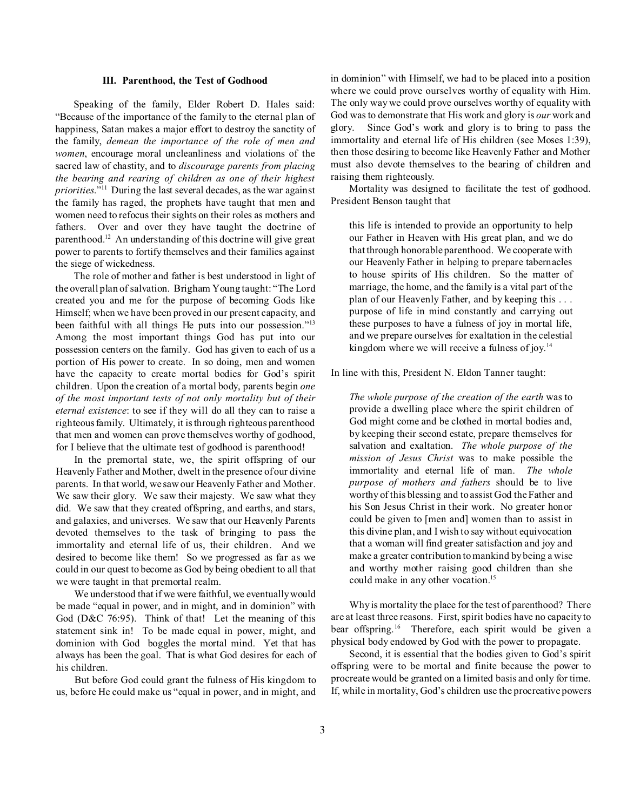#### **III. Parenthood, the Test of Godhood**

Speaking of the family, Elder Robert D. Hales said: "Because of the importance of the family to the eternal plan of happiness, Satan makes a major effort to destroy the sanctity of the family, *demean the importance of the role of men and women*, encourage moral uncleanliness and violations of the sacred law of chastity, and to *discourage parents from placing the bearing and rearing of children as one of their highest priorities*."<sup>11</sup> During the last several decades, as the war against the family has raged, the prophets have taught that men and women need to refocus their sights on their roles as mothers and fathers. Over and over they have taught the doctrine of parenthood.<sup>12</sup> An understanding of this doctrine will give great power to parents to fortify themselves and their families against the siege of wickedness.

The role of mother and father is best understood in light of the overall plan of salvation. Brigham Young taught: "The Lord created you and me for the purpose of becoming Gods like Himself; when we have been proved in our present capacity, and been faithful with all things He puts into our possession."<sup>13</sup> Among the most important things God has put into our possession centers on the family. God has given to each of us a portion of His power to create. In so doing, men and women have the capacity to create mortal bodies for God's spirit children. Upon the creation of a mortal body, parents begin *one of the most important tests of not only mortality but of their eternal existence*: to see if they will do all they can to raise a righteous family. Ultimately, it is through righteous parenthood that men and women can prove themselves worthy of godhood, for I believe that the ultimate test of godhood is parenthood!

In the premortal state, we, the spirit offspring of our Heavenly Father and Mother, dwelt in the presence of our divine parents. In that world, we saw our Heavenly Father and Mother. We saw their glory. We saw their majesty. We saw what they did. We saw that they created offspring, and earths, and stars, and galaxies, and universes. We saw that our Heavenly Parents devoted themselves to the task of bringing to pass the immortality and eternal life of us, their children. And we desired to become like them! So we progressed as far as we could in our quest to become as God by being obedient to all that we were taught in that premortal realm.

We understood that if we were faithful, we eventually would be made "equal in power, and in might, and in dominion" with God (D&C 76:95). Think of that! Let the meaning of this statement sink in! To be made equal in power, might, and dominion with God boggles the mortal mind. Yet that has always has been the goal. That is what God desires for each of his children.

But before God could grant the fulness of His kingdom to us, before He could make us "equal in power, and in might, and in dominion" with Himself, we had to be placed into a position where we could prove ourselves worthy of equality with Him. The only way we could prove ourselves worthy of equality with God was to demonstrate that His work and glory is *our* work and glory. Since God's work and glory is to bring to pass the immortality and eternal life of His children (see Moses 1:39), then those desiring to become like Heavenly Father and Mother must also devote themselves to the bearing of children and raising them righteously.

Mortality was designed to facilitate the test of godhood. President Benson taught that

this life is intended to provide an opportunity to help our Father in Heaven with His great plan, and we do that through honorable parenthood. We cooperate with our Heavenly Father in helping to prepare tabernacles to house spirits of His children. So the matter of marriage, the home, and the family is a vital part of the plan of our Heavenly Father, and by keeping this . . . purpose of life in mind constantly and carrying out these purposes to have a fulness of joy in mortal life, and we prepare ourselves for exaltation in the celestial kingdom where we will receive a fulness of joy.<sup>14</sup>

In line with this, President N. Eldon Tanner taught:

*The whole purpose of the creation of the earth* was to provide a dwelling place where the spirit children of God might come and be clothed in mortal bodies and, by keeping their second estate, prepare themselves for salvation and exaltation. *The whole purpose of the mission of Jesus Christ* was to make possible the immortality and eternal life of man. *The whole purpose of mothers and fathers* should be to live worthy of this blessing and to assist God the Father and his Son Jesus Christ in their work. No greater honor could be given to [men and] women than to assist in this divine plan, and I wish to say without equivocation that a woman will find greater satisfaction and joy and make a greater contribution to mankind by being a wise and worthy mother raising good children than she could make in any other vocation.<sup>15</sup>

Why is mortality the place for the test of parenthood? There are at least three reasons. First, spirit bodies have no capacity to bear offspring.<sup>16</sup> Therefore, each spirit would be given a physical body endowed by God with the power to propagate.

Second, it is essential that the bodies given to God's spirit offspring were to be mortal and finite because the power to procreate would be granted on a limited basis and only for time. If, while in mortality, God's children use the procreative powers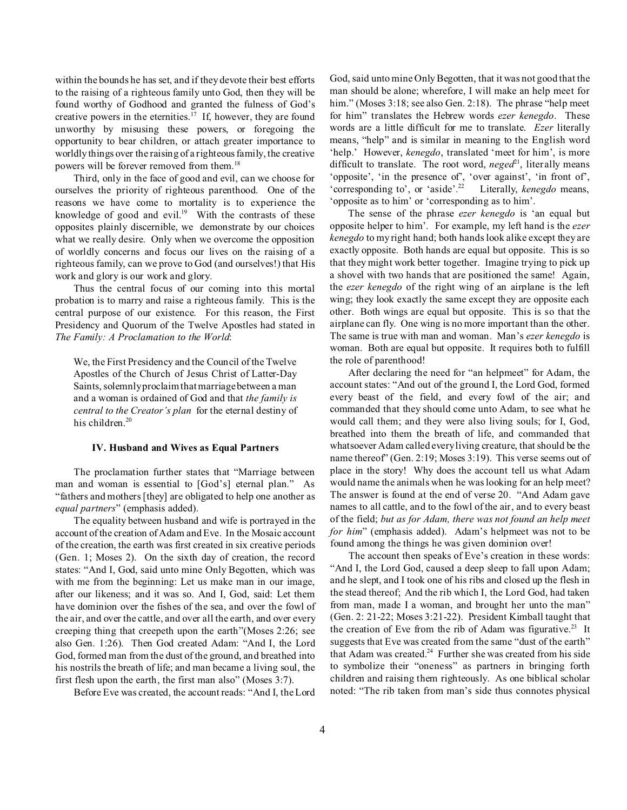within the bounds he has set, and if they devote their best efforts to the raising of a righteous family unto God, then they will be found worthy of Godhood and granted the fulness of God's creative powers in the eternities.<sup>17</sup> If, however, they are found unworthy by misusing these powers, or foregoing the opportunity to bear children, or attach greater importance to worldly things over the raising of a righteous family, the creative powers will be forever removed from them.<sup>18</sup>

Third, only in the face of good and evil, can we choose for ourselves the priority of righteous parenthood. One of the reasons we have come to mortality is to experience the knowledge of good and evil.<sup>19</sup> With the contrasts of these opposites plainly discernible, we demonstrate by our choices what we really desire. Only when we overcome the opposition of worldly concerns and focus our lives on the raising of a righteous family, can we prove to God (and ourselves!) that His work and glory is our work and glory.

Thus the central focus of our coming into this mortal probation is to marry and raise a righteous family. This is the central purpose of our existence. For this reason, the First Presidency and Quorum of the Twelve Apostles had stated in *The Family: A Proclamation to the World*:

We, the First Presidency and the Council of the Twelve Apostles of the Church of Jesus Christ of Latter-Day Saints, solemnly proclaim that marriage between a man and a woman is ordained of God and that *the family is central to the Creator's plan* for the eternal destiny of his children.<sup>20</sup>

#### **IV. Husband and Wives as Equal Partners**

The proclamation further states that "Marriage between man and woman is essential to [God's] eternal plan." As "fathers and mothers [they] are obligated to help one another as *equal partners*" (emphasis added).

The equality between husband and wife is portrayed in the account of the creation of Adam and Eve. In the Mosaic account of the creation, the earth was first created in six creative periods (Gen. 1; Moses 2). On the sixth day of creation, the record states: "And I, God, said unto mine Only Begotten, which was with me from the beginning: Let us make man in our image, after our likeness; and it was so. And I, God, said: Let them have dominion over the fishes of the sea, and over the fowl of the air, and over the cattle, and over all the earth, and over every creeping thing that creepeth upon the earth"(Moses 2:26; see also Gen. 1:26). Then God created Adam: "And I, the Lord God, formed man from the dust of the ground, and breathed into his nostrils the breath of life; and man became a living soul, the first flesh upon the earth, the first man also" (Moses 3:7).

Before Eve was created, the account reads: "And I, the Lord

God, said unto mine Only Begotten, that it was not good that the man should be alone; wherefore, I will make an help meet for him." (Moses 3:18; see also Gen. 2:18). The phrase "help meet for him" translates the Hebrew words *ezer kenegdo*. These words are a little difficult for me to translate. *Ezer* literally means, "help" and is similar in meaning to the English word 'help.' However, *kenegdo*, translated 'meet for him', is more difficult to translate. The root word, *neged*<sup>21</sup>, literally means 'opposite', 'in the presence of', 'over against', 'in front of', 'corresponding to', or 'aside'.<sup>22</sup> Literally, *kenegdo* means, 'opposite as to him' or 'corresponding as to him'.

The sense of the phrase *ezer kenegdo* is 'an equal but opposite helper to him'. For example, my left hand is the *ezer kenegdo* to my right hand; both hands look alike except they are exactly opposite. Both hands are equal but opposite. This is so that they might work better together. Imagine trying to pick up a shovel with two hands that are positioned the same! Again, the *ezer kenegdo* of the right wing of an airplane is the left wing; they look exactly the same except they are opposite each other. Both wings are equal but opposite. This is so that the airplane can fly. One wing is no more important than the other. The same is true with man and woman. Man's *ezer kenegdo* is woman. Both are equal but opposite. It requires both to fulfill the role of parenthood!

After declaring the need for "an helpmeet" for Adam, the account states: "And out of the ground I, the Lord God, formed every beast of the field, and every fowl of the air; and commanded that they should come unto Adam, to see what he would call them; and they were also living souls; for I, God, breathed into them the breath of life, and commanded that whatsoever Adam called every living creature, that should be the name thereof" (Gen. 2:19; Moses 3:19). This verse seems out of place in the story! Why does the account tell us what Adam would name the animals when he was looking for an help meet? The answer is found at the end of verse 20. "And Adam gave names to all cattle, and to the fowl of the air, and to every beast of the field; *but as for Adam, there was not found an help meet for him*" (emphasis added). Adam's helpmeet was not to be found among the things he was given dominion over!

The account then speaks of Eve's creation in these words: "And I, the Lord God, caused a deep sleep to fall upon Adam; and he slept, and I took one of his ribs and closed up the flesh in the stead thereof; And the rib which I, the Lord God, had taken from man, made I a woman, and brought her unto the man" (Gen. 2: 21-22; Moses 3:21-22). President Kimball taught that the creation of Eve from the rib of Adam was figurative.<sup>23</sup> It suggests that Eve was created from the same "dust of the earth" that Adam was created.<sup>24</sup> Further she was created from his side to symbolize their "oneness" as partners in bringing forth children and raising them righteously. As one biblical scholar noted: "The rib taken from man's side thus connotes physical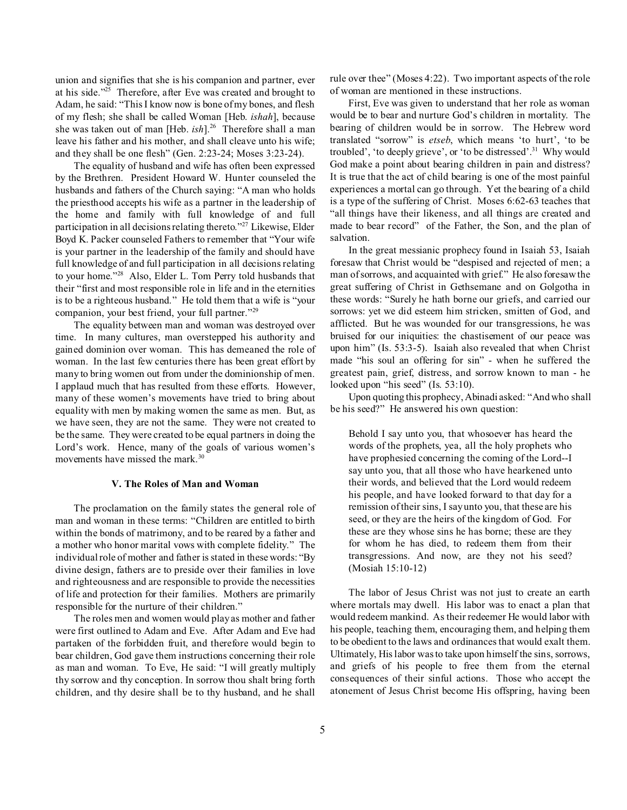union and signifies that she is his companion and partner, ever at his side."<sup>25</sup> Therefore, after Eve was created and brought to Adam, he said: "This I know now is bone of my bones, and flesh of my flesh; she shall be called Woman [Heb. *ishah*], because she was taken out of man [Heb. *ish*].<sup>26</sup> Therefore shall a man leave his father and his mother, and shall cleave unto his wife; and they shall be one flesh" (Gen. 2:23-24; Moses 3:23-24).

The equality of husband and wife has often been expressed by the Brethren. President Howard W. Hunter counseled the husbands and fathers of the Church saying: "A man who holds the priesthood accepts his wife as a partner in the leadership of the home and family with full knowledge of and full participation in all decisions relating thereto." $^{27}$  Likewise, Elder Boyd K. Packer counseled Fathers to remember that "Your wife is your partner in the leadership of the family and should have full knowledge of and full participation in all decisions relating to your home."<sup>28</sup> Also, Elder L. Tom Perry told husbands that their "first and most responsible role in life and in the eternities is to be a righteous husband." He told them that a wife is "your companion, your best friend, your full partner."<sup>29</sup>

The equality between man and woman was destroyed over time. In many cultures, man overstepped his authority and gained dominion over woman. This has demeaned the role of woman. In the last few centuries there has been great effort by many to bring women out from under the dominionship of men. I applaud much that has resulted from these efforts. However, many of these women's movements have tried to bring about equality with men by making women the same as men. But, as we have seen, they are not the same. They were not created to be the same. They were created to be equal partners in doing the Lord's work. Hence, many of the goals of various women's movements have missed the mark.<sup>30</sup>

## **V. The Roles of Man and Woman**

The proclamation on the family states the general role of man and woman in these terms: "Children are entitled to birth within the bonds of matrimony, and to be reared by a father and a mother who honor marital vows with complete fidelity." The individual role of mother and father is stated in these words: "By divine design, fathers are to preside over their families in love and righteousness and are responsible to provide the necessities of life and protection for their families. Mothers are primarily responsible for the nurture of their children."

The roles men and women would play as mother and father were first outlined to Adam and Eve. After Adam and Eve had partaken of the forbidden fruit, and therefore would begin to bear children, God gave them instructions concerning their role as man and woman. To Eve, He said: "I will greatly multiply thy sorrow and thy conception. In sorrow thou shalt bring forth children, and thy desire shall be to thy husband, and he shall

rule over thee" (Moses 4:22). Two important aspects of the role of woman are mentioned in these instructions.

First, Eve was given to understand that her role as woman would be to bear and nurture God's children in mortality. The bearing of children would be in sorrow. The Hebrew word translated "sorrow" is *etseb*, which means 'to hurt', 'to be troubled', 'to deeply grieve', or 'to be distressed'.<sup>31</sup> Why would God make a point about bearing children in pain and distress? It is true that the act of child bearing is one of the most painful experiences a mortal can go through. Yet the bearing of a child is a type of the suffering of Christ. Moses 6:62-63 teaches that "all things have their likeness, and all things are created and made to bear record" of the Father, the Son, and the plan of salvation.

In the great messianic prophecy found in Isaiah 53, Isaiah foresaw that Christ would be "despised and rejected of men; a man of sorrows, and acquainted with grief." He also foresaw the great suffering of Christ in Gethsemane and on Golgotha in these words: "Surely he hath borne our griefs, and carried our sorrows: yet we did esteem him stricken, smitten of God, and afflicted. But he was wounded for our transgressions, he was bruised for our iniquities: the chastisement of our peace was upon him" (Is. 53:3-5). Isaiah also revealed that when Christ made "his soul an offering for sin" - when he suffered the greatest pain, grief, distress, and sorrow known to man - he looked upon "his seed" (Is. 53:10).

Upon quoting this prophecy, Abinadi asked: "And who shall be his seed?" He answered his own question:

Behold I say unto you, that whosoever has heard the words of the prophets, yea, all the holy prophets who have prophesied concerning the coming of the Lord--I say unto you, that all those who have hearkened unto their words, and believed that the Lord would redeem his people, and have looked forward to that day for a remission of their sins, I say unto you, that these are his seed, or they are the heirs of the kingdom of God. For these are they whose sins he has borne; these are they for whom he has died, to redeem them from their transgressions. And now, are they not his seed? (Mosiah 15:10-12)

The labor of Jesus Christ was not just to create an earth where mortals may dwell. His labor was to enact a plan that would redeem mankind. As their redeemer He would labor with his people, teaching them, encouraging them, and helping them to be obedient to the laws and ordinances that would exalt them. Ultimately, His labor was to take upon himself the sins, sorrows, and griefs of his people to free them from the eternal consequences of their sinful actions. Those who accept the atonement of Jesus Christ become His offspring, having been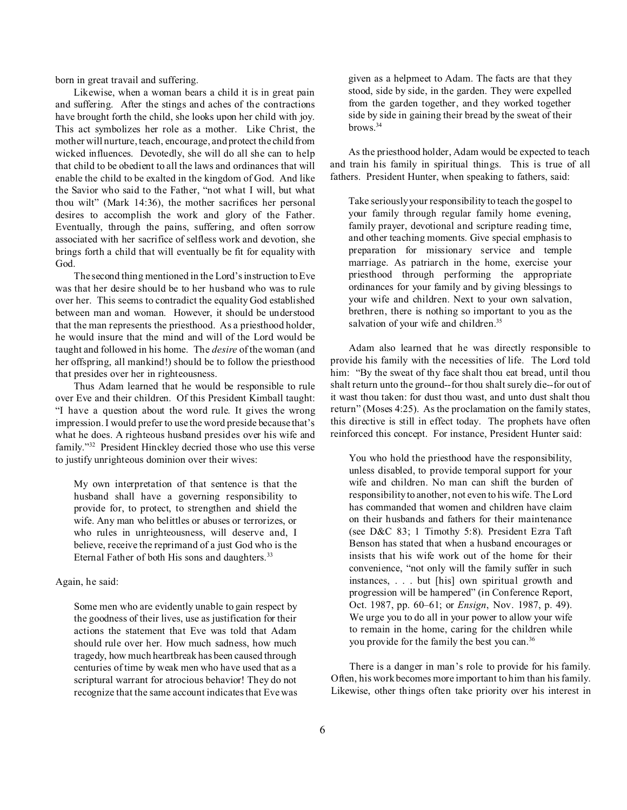born in great travail and suffering.

Likewise, when a woman bears a child it is in great pain and suffering. After the stings and aches of the contractions have brought forth the child, she looks upon her child with joy. This act symbolizes her role as a mother. Like Christ, the mother will nurture, teach, encourage, and protect the child from wicked influences. Devotedly, she will do all she can to help that child to be obedient to all the laws and ordinances that will enable the child to be exalted in the kingdom of God. And like the Savior who said to the Father, "not what I will, but what thou wilt" (Mark 14:36), the mother sacrifices her personal desires to accomplish the work and glory of the Father. Eventually, through the pains, suffering, and often sorrow associated with her sacrifice of selfless work and devotion, she brings forth a child that will eventually be fit for equality with God.

The second thing mentioned in the Lord's instruction to Eve was that her desire should be to her husband who was to rule over her. This seems to contradict the equality God established between man and woman. However, it should be understood that the man represents the priesthood. As a priesthood holder, he would insure that the mind and will of the Lord would be taught and followed in his home. The *desire* of the woman (and her offspring, all mankind!) should be to follow the priesthood that presides over her in righteousness.

Thus Adam learned that he would be responsible to rule over Eve and their children. Of this President Kimball taught: "I have a question about the word rule. It gives the wrong impression. I would prefer to use the word preside because that's what he does. A righteous husband presides over his wife and family."<sup>32</sup> President Hinckley decried those who use this verse to justify unrighteous dominion over their wives:

My own interpretation of that sentence is that the husband shall have a governing responsibility to provide for, to protect, to strengthen and shield the wife. Any man who belittles or abuses or terrorizes, or who rules in unrighteousness, will deserve and, I believe, receive the reprimand of a just God who is the Eternal Father of both His sons and daughters.<sup>33</sup>

#### Again, he said:

Some men who are evidently unable to gain respect by the goodness of their lives, use as justification for their actions the statement that Eve was told that Adam should rule over her. How much sadness, how much tragedy, how much heartbreak has been caused through centuries of time by weak men who have used that as a scriptural warrant for atrocious behavior! They do not recognize that the same account indicates that Eve was given as a helpmeet to Adam. The facts are that they stood, side by side, in the garden. They were expelled from the garden together, and they worked together side by side in gaining their bread by the sweat of their brows.<sup>34</sup>

As the priesthood holder, Adam would be expected to teach and train his family in spiritual things. This is true of all fathers. President Hunter, when speaking to fathers, said:

Take seriously your responsibility to teach the gospel to your family through regular family home evening, family prayer, devotional and scripture reading time, and other teaching moments. Give special emphasis to preparation for missionary service and temple marriage. As patriarch in the home, exercise your priesthood through performing the appropriate ordinances for your family and by giving blessings to your wife and children. Next to your own salvation, brethren, there is nothing so important to you as the salvation of your wife and children.<sup>35</sup>

Adam also learned that he was directly responsible to provide his family with the necessities of life. The Lord told him: "By the sweat of thy face shalt thou eat bread, until thou shalt return unto the ground--for thou shalt surely die--for out of it wast thou taken: for dust thou wast, and unto dust shalt thou return" (Moses 4:25). As the proclamation on the family states, this directive is still in effect today. The prophets have often reinforced this concept. For instance, President Hunter said:

You who hold the priesthood have the responsibility, unless disabled, to provide temporal support for your wife and children. No man can shift the burden of responsibility to another, not even to his wife. The Lord has commanded that women and children have claim on their husbands and fathers for their maintenance (see D&C 83; 1 Timothy 5:8). President Ezra Taft Benson has stated that when a husband encourages or insists that his wife work out of the home for their convenience, "not only will the family suffer in such instances, . . . but [his] own spiritual growth and progression will be hampered" (in Conference Report, Oct. 1987, pp. 60–61; or *Ensign*, Nov. 1987, p. 49). We urge you to do all in your power to allow your wife to remain in the home, caring for the children while you provide for the family the best you can.<sup>36</sup>

There is a danger in man's role to provide for his family. Often, his work becomes more important to him than his family. Likewise, other things often take priority over his interest in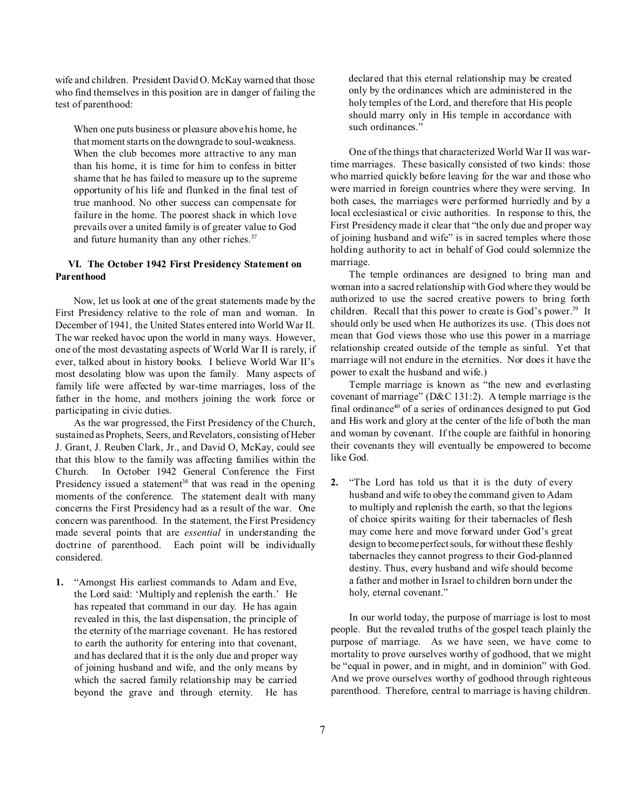wife and children. President David O. McKay warned that those who find themselves in this position are in danger of failing the test of parenthood:

When one puts business or pleasure above his home, he that moment starts on the downgrade to soul-weakness. When the club becomes more attractive to any man than his home, it is time for him to confess in bitter shame that he has failed to measure up to the supreme opportunity of his life and flunked in the final test of true manhood. No other success can compensate for failure in the home. The poorest shack in which love prevails over a united family is of greater value to God and future humanity than any other riches.<sup>37</sup>

## **VI. The October 1942 First Presidency Statement on Parenthood**

Now, let us look at one of the great statements made by the First Presidency relative to the role of man and woman. In December of 1941, the United States entered into World War II. The war reeked havoc upon the world in many ways. However, one of the most devastating aspects of World War II is rarely, if ever, talked about in history books. I believe World War II's most desolating blow was upon the family. Many aspects of family life were affected by war-time marriages, loss of the father in the home, and mothers joining the work force or participating in civic duties.

As the war progressed, the First Presidency of the Church, sustained as Prophets, Seers, and Revelators, consisting of Heber J. Grant, J. Reuben Clark, Jr., and David O, McKay, could see that this blow to the family was affecting families within the Church. In October 1942 General Conference the First Presidency issued a statement<sup>38</sup> that was read in the opening moments of the conference. The statement dealt with many concerns the First Presidency had as a result of the war. One concern was parenthood. In the statement, the First Presidency made several points that are *essential* in understanding the doctrine of parenthood. Each point will be individually considered.

**1.** "Amongst His earliest commands to Adam and Eve, the Lord said: 'Multiply and replenish the earth.' He has repeated that command in our day. He has again revealed in this, the last dispensation, the principle of the eternity of the marriage covenant. He has restored to earth the authority for entering into that covenant, and has declared that it is the only due and proper way of joining husband and wife, and the only means by which the sacred family relationship may be carried beyond the grave and through eternity. He has declared that this eternal relationship may be created only by the ordinances which are administered in the holy temples of the Lord, and therefore that His people should marry only in His temple in accordance with such ordinances."

One of the things that characterized World War II was wartime marriages. These basically consisted of two kinds: those who married quickly before leaving for the war and those who were married in foreign countries where they were serving. In both cases, the marriages were performed hurriedly and by a local ecclesiastical or civic authorities. In response to this, the First Presidency made it clear that "the only due and proper way of joining husband and wife" is in sacred temples where those holding authority to act in behalf of God could solemnize the marriage.

The temple ordinances are designed to bring man and woman into a sacred relationship with God where they would be authorized to use the sacred creative powers to bring forth children. Recall that this power to create is God's power.<sup>39</sup> It should only be used when He authorizes its use. (This does not mean that God views those who use this power in a marriage relationship created outside of the temple as sinful. Yet that marriage will not endure in the eternities. Nor does it have the power to exalt the husband and wife.)

Temple marriage is known as "the new and everlasting covenant of marriage" (D&C 131:2). A temple marriage is the final ordinance<sup>40</sup> of a series of ordinances designed to put God and His work and glory at the center of the life of both the man and woman by covenant. If the couple are faithful in honoring their covenants they will eventually be empowered to become like God.

**2.** "The Lord has told us that it is the duty of every husband and wife to obey the command given to Adam to multiply and replenish the earth, so that the legions of choice spirits waiting for their tabernacles of flesh may come here and move forward under God's great design to become perfect souls, for without these fleshly tabernacles they cannot progress to their God-planned destiny. Thus, every husband and wife should become a father and mother in Israel to children born under the holy, eternal covenant."

In our world today, the purpose of marriage is lost to most people. But the revealed truths of the gospel teach plainly the purpose of marriage. As we have seen, we have come to mortality to prove ourselves worthy of godhood, that we might be "equal in power, and in might, and in dominion" with God. And we prove ourselves worthy of godhood through righteous parenthood. Therefore, central to marriage is having children.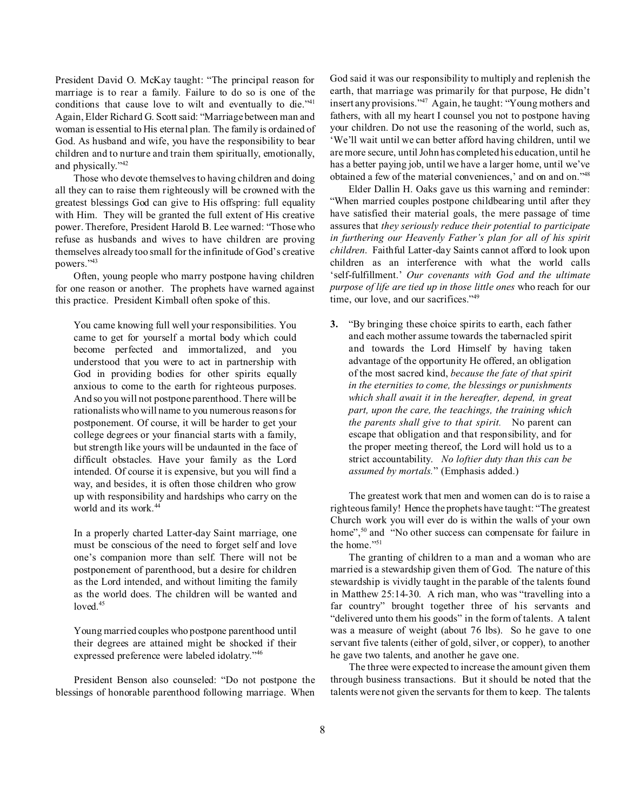President David O. McKay taught: "The principal reason for marriage is to rear a family. Failure to do so is one of the conditions that cause love to wilt and eventually to die."<sup>41</sup> Again, Elder Richard G. Scott said: "Marriage between man and woman is essential to His eternal plan. The family is ordained of God. As husband and wife, you have the responsibility to bear children and to nurture and train them spiritually, emotionally, and physically."<sup>42</sup>

Those who devote themselves to having children and doing all they can to raise them righteously will be crowned with the greatest blessings God can give to His offspring: full equality with Him. They will be granted the full extent of His creative power. Therefore, President Harold B. Lee warned: "Those who refuse as husbands and wives to have children are proving themselves already too small for the infinitude of God's creative powers."43

Often, young people who marry postpone having children for one reason or another. The prophets have warned against this practice. President Kimball often spoke of this.

You came knowing full well your responsibilities. You came to get for yourself a mortal body which could become perfected and immortalized, and you understood that you were to act in partnership with God in providing bodies for other spirits equally anxious to come to the earth for righteous purposes. And so you will not postpone parenthood. There will be rationalists who will name to you numerous reasons for postponement. Of course, it will be harder to get your college degrees or your financial starts with a family, but strength like yours will be undaunted in the face of difficult obstacles. Have your family as the Lord intended. Of course it is expensive, but you will find a way, and besides, it is often those children who grow up with responsibility and hardships who carry on the world and its work.<sup>44</sup>

In a properly charted Latter-day Saint marriage, one must be conscious of the need to forget self and love one's companion more than self. There will not be postponement of parenthood, but a desire for children as the Lord intended, and without limiting the family as the world does. The children will be wanted and loved.<sup>45</sup>

Young married couples who postpone parenthood until their degrees are attained might be shocked if their expressed preference were labeled idolatry."<sup>46</sup>

President Benson also counseled: "Do not postpone the blessings of honorable parenthood following marriage. When God said it was our responsibility to multiply and replenish the earth, that marriage was primarily for that purpose, He didn't insert any provisions."<sup>47</sup> Again, he taught: "Young mothers and fathers, with all my heart I counsel you not to postpone having your children. Do not use the reasoning of the world, such as, 'We'll wait until we can better afford having children, until we are more secure, until John has completed his education, until he has a better paying job, until we have a larger home, until we've obtained a few of the material conveniences,' and on and on."<sup>48</sup>

Elder Dallin H. Oaks gave us this warning and reminder: "When married couples postpone childbearing until after they have satisfied their material goals, the mere passage of time assures that *they seriously reduce their potential to participate in furthering our Heavenly Father's plan for all of his spirit children*. Faithful Latter-day Saints cannot afford to look upon children as an interference with what the world calls 'self-fulfillment.' *Our covenants with God and the ultimate purpose of life are tied up in those little ones* who reach for our time, our love, and our sacrifices."<sup>49</sup>

**3.** "By bringing these choice spirits to earth, each father and each mother assume towards the tabernacled spirit and towards the Lord Himself by having taken advantage of the opportunity He offered, an obligation of the most sacred kind, *because the fate of that spirit in the eternities to come, the blessings or punishments which shall await it in the hereafter, depend, in great part, upon the care, the teachings, the training which the parents shall give to that spirit.* No parent can escape that obligation and that responsibility, and for the proper meeting thereof, the Lord will hold us to a strict accountability. *No loftier duty than this can be assumed by mortals.*" (Emphasis added.)

The greatest work that men and women can do is to raise a righteous family! Hence the prophets have taught: "The greatest Church work you will ever do is within the walls of your own home",<sup>50</sup> and "No other success can compensate for failure in the home."<sup>51</sup>

The granting of children to a man and a woman who are married is a stewardship given them of God. The nature of this stewardship is vividly taught in the parable of the talents found in Matthew 25:14-30. A rich man, who was "travelling into a far country" brought together three of his servants and "delivered unto them his goods" in the form of talents. A talent was a measure of weight (about 76 lbs). So he gave to one servant five talents (either of gold, silver, or copper), to another he gave two talents, and another he gave one.

The three were expected to increase the amount given them through business transactions. But it should be noted that the talents were not given the servants for them to keep. The talents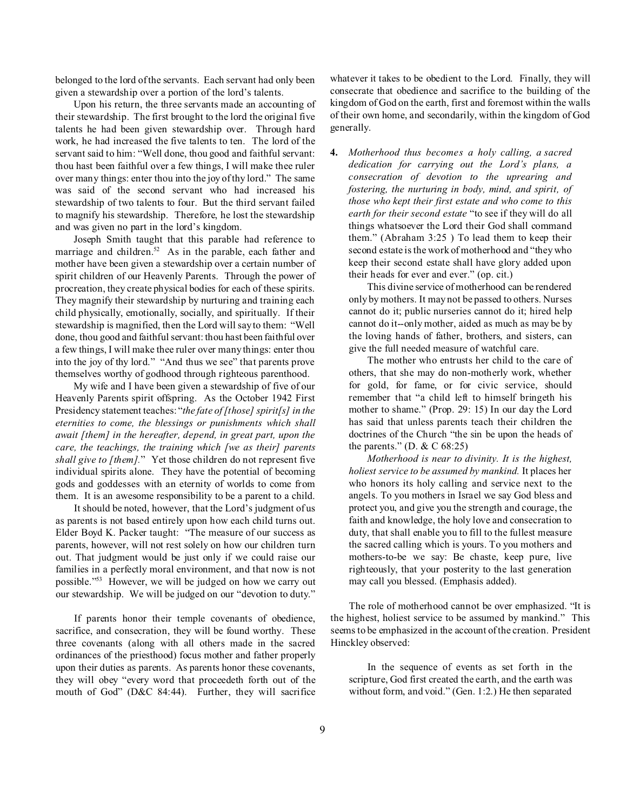belonged to the lord of the servants. Each servant had only been given a stewardship over a portion of the lord's talents.

Upon his return, the three servants made an accounting of their stewardship. The first brought to the lord the original five talents he had been given stewardship over. Through hard work, he had increased the five talents to ten. The lord of the servant said to him: "Well done, thou good and faithful servant: thou hast been faithful over a few things, I will make thee ruler over many things: enter thou into the joy of thy lord." The same was said of the second servant who had increased his stewardship of two talents to four. But the third servant failed to magnify his stewardship. Therefore, he lost the stewardship and was given no part in the lord's kingdom.

Joseph Smith taught that this parable had reference to marriage and children.<sup>52</sup> As in the parable, each father and mother have been given a stewardship over a certain number of spirit children of our Heavenly Parents. Through the power of procreation, they create physical bodies for each of these spirits. They magnify their stewardship by nurturing and training each child physically, emotionally, socially, and spiritually. If their stewardship is magnified, then the Lord will say to them: "Well done, thou good and faithful servant: thou hast been faithful over a few things, I will make thee ruler over many things: enter thou into the joy of thy lord." "And thus we see" that parents prove themselves worthy of godhood through righteous parenthood.

My wife and I have been given a stewardship of five of our Heavenly Parents spirit offspring. As the October 1942 First Presidency statement teaches: "*the fate of [those] spirit[s] in the eternities to come, the blessings or punishments which shall await [them] in the hereafter, depend, in great part, upon the care, the teachings, the training which [we as their] parents shall give to [them].*" Yet those children do not represent five individual spirits alone. They have the potential of becoming gods and goddesses with an eternity of worlds to come from them. It is an awesome responsibility to be a parent to a child.

It should be noted, however, that the Lord's judgment of us as parents is not based entirely upon how each child turns out. Elder Boyd K. Packer taught: "The measure of our success as parents, however, will not rest solely on how our children turn out. That judgment would be just only if we could raise our families in a perfectly moral environment, and that now is not possible."<sup>53</sup> However, we will be judged on how we carry out our stewardship. We will be judged on our "devotion to duty."

If parents honor their temple covenants of obedience, sacrifice, and consecration, they will be found worthy. These three covenants (along with all others made in the sacred ordinances of the priesthood) focus mother and father properly upon their duties as parents. As parents honor these covenants, they will obey "every word that proceedeth forth out of the mouth of God" (D&C 84:44). Further, they will sacrifice

whatever it takes to be obedient to the Lord. Finally, they will consecrate that obedience and sacrifice to the building of the kingdom of God on the earth, first and foremost within the walls of their own home, and secondarily, within the kingdom of God generally.

**4.** *Motherhood thus becomes a holy calling, a sacred dedication for carrying out the Lord's plans, a consecration of devotion to the uprearing and fostering, the nurturing in body, mind, and spirit, of those who kept their first estate and who come to this earth for their second estate* "to see if they will do all things whatsoever the Lord their God shall command them." (Abraham 3:25 ) To lead them to keep their second estate is the work of motherhood and "they who keep their second estate shall have glory added upon their heads for ever and ever." (op. cit.)

This divine service of motherhood can be rendered only by mothers. It may not be passed to others. Nurses cannot do it; public nurseries cannot do it; hired help cannot do it--only mother, aided as much as may be by the loving hands of father, brothers, and sisters, can give the full needed measure of watchful care.

The mother who entrusts her child to the care of others, that she may do non-motherly work, whether for gold, for fame, or for civic service, should remember that "a child left to himself bringeth his mother to shame." (Prop. 29: 15) In our day the Lord has said that unless parents teach their children the doctrines of the Church "the sin be upon the heads of the parents." (D.  $&$  C 68:25)

*Motherhood is near to divinity. It is the highest, holiest service to be assumed by mankind.* It places her who honors its holy calling and service next to the angels. To you mothers in Israel we say God bless and protect you, and give you the strength and courage, the faith and knowledge, the holy love and consecration to duty, that shall enable you to fill to the fullest measure the sacred calling which is yours. To you mothers and mothers-to-be we say: Be chaste, keep pure, live righteously, that your posterity to the last generation may call you blessed. (Emphasis added).

The role of motherhood cannot be over emphasized. "It is the highest, holiest service to be assumed by mankind." This seems to be emphasized in the account of the creation. President Hinckley observed:

In the sequence of events as set forth in the scripture, God first created the earth, and the earth was without form, and void." (Gen. 1:2.) He then separated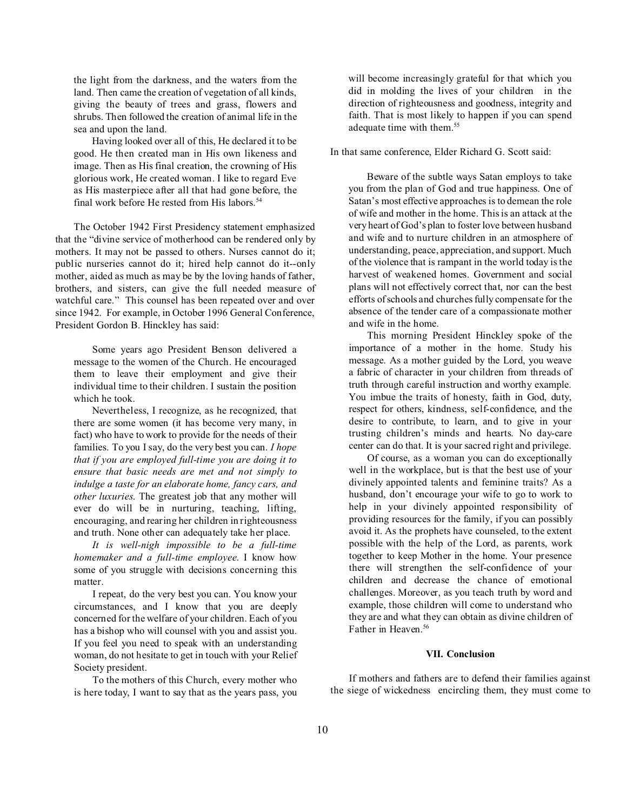the light from the darkness, and the waters from the land. Then came the creation of vegetation of all kinds, giving the beauty of trees and grass, flowers and shrubs. Then followed the creation of animal life in the sea and upon the land.

Having looked over all of this, He declared it to be good. He then created man in His own likeness and image. Then as His final creation, the crowning of His glorious work, He created woman. I like to regard Eve as His masterpiece after all that had gone before, the final work before He rested from His labors.<sup>54</sup>

The October 1942 First Presidency statement emphasized that the "divine service of motherhood can be rendered only by mothers. It may not be passed to others. Nurses cannot do it; public nurseries cannot do it; hired help cannot do it--only mother, aided as much as may be by the loving hands of father, brothers, and sisters, can give the full needed measure of watchful care." This counsel has been repeated over and over since 1942. For example, in October 1996 General Conference, President Gordon B. Hinckley has said:

Some years ago President Benson delivered a message to the women of the Church. He encouraged them to leave their employment and give their individual time to their children. I sustain the position which he took.

Nevertheless, I recognize, as he recognized, that there are some women (it has become very many, in fact) who have to work to provide for the needs of their families. To you I say, do the very best you can. *I hope that if you are employed full-time you are doing it to ensure that basic needs are met and not simply to indulge a taste for an elaborate home, fancy cars, and other luxuries*. The greatest job that any mother will ever do will be in nurturing, teaching, lifting, encouraging, and rearing her children in righteousness and truth. None other can adequately take her place.

*It is well-nigh impossible to be a full-time homemaker and a full-time employee*. I know how some of you struggle with decisions concerning this matter.

I repeat, do the very best you can. You know your circumstances, and I know that you are deeply concerned for the welfare of your children. Each of you has a bishop who will counsel with you and assist you. If you feel you need to speak with an understanding woman, do not hesitate to get in touch with your Relief Society president.

To the mothers of this Church, every mother who is here today, I want to say that as the years pass, you will become increasingly grateful for that which you did in molding the lives of your children in the direction of righteousness and goodness, integrity and faith. That is most likely to happen if you can spend adequate time with them.<sup>55</sup>

In that same conference, Elder Richard G. Scott said:

Beware of the subtle ways Satan employs to take you from the plan of God and true happiness. One of Satan's most effective approaches is to demean the role of wife and mother in the home. This is an attack at the very heart of God's plan to foster love between husband and wife and to nurture children in an atmosphere of understanding, peace, appreciation, and support. Much of the violence that is rampant in the world today is the harvest of weakened homes. Government and social plans will not effectively correct that, nor can the best efforts of schools and churches fully compensate for the absence of the tender care of a compassionate mother and wife in the home.

This morning President Hinckley spoke of the importance of a mother in the home. Study his message. As a mother guided by the Lord, you weave a fabric of character in your children from threads of truth through careful instruction and worthy example. You imbue the traits of honesty, faith in God, duty, respect for others, kindness, self-confidence, and the desire to contribute, to learn, and to give in your trusting children's minds and hearts. No day-care center can do that. It is your sacred right and privilege.

Of course, as a woman you can do exceptionally well in the workplace, but is that the best use of your divinely appointed talents and feminine traits? As a husband, don't encourage your wife to go to work to help in your divinely appointed responsibility of providing resources for the family, if you can possibly avoid it. As the prophets have counseled, to the extent possible with the help of the Lord, as parents, work together to keep Mother in the home. Your presence there will strengthen the self-confidence of your children and decrease the chance of emotional challenges. Moreover, as you teach truth by word and example, those children will come to understand who they are and what they can obtain as divine children of Father in Heaven.<sup>56</sup>

# **VII. Conclusion**

If mothers and fathers are to defend their families against the siege of wickedness encircling them, they must come to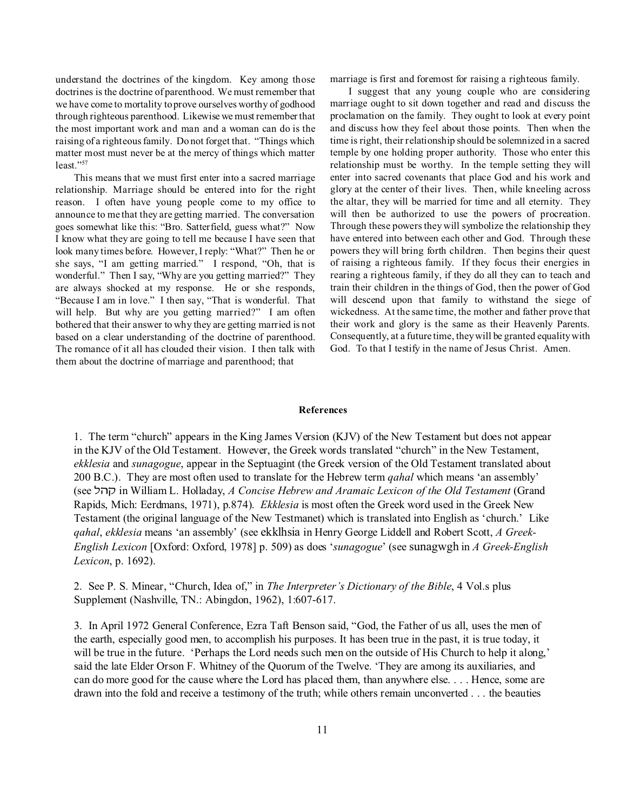understand the doctrines of the kingdom. Key among those doctrines is the doctrine of parenthood. We must remember that we have come to mortality to prove ourselves worthy of godhood through righteous parenthood. Likewise we must remember that the most important work and man and a woman can do is the raising of a righteous family. Do not forget that. "Things which matter most must never be at the mercy of things which matter least."<sup>57</sup>

This means that we must first enter into a sacred marriage relationship. Marriage should be entered into for the right reason. I often have young people come to my office to announce to me that they are getting married. The conversation goes somewhat like this: "Bro. Satterfield, guess what?" Now I know what they are going to tell me because I have seen that look many times before. However, I reply: "What?" Then he or she says, "I am getting married." I respond, "Oh, that is wonderful." Then I say, "Why are you getting married?" They are always shocked at my response. He or she responds, "Because I am in love." I then say, "That is wonderful. That will help. But why are you getting married?" I am often bothered that their answer to why they are getting married is not based on a clear understanding of the doctrine of parenthood. The romance of it all has clouded their vision. I then talk with them about the doctrine of marriage and parenthood; that

marriage is first and foremost for raising a righteous family.

I suggest that any young couple who are considering marriage ought to sit down together and read and discuss the proclamation on the family. They ought to look at every point and discuss how they feel about those points. Then when the time is right, their relationship should be solemnized in a sacred temple by one holding proper authority. Those who enter this relationship must be worthy. In the temple setting they will enter into sacred covenants that place God and his work and glory at the center of their lives. Then, while kneeling across the altar, they will be married for time and all eternity. They will then be authorized to use the powers of procreation. Through these powers they will symbolize the relationship they have entered into between each other and God. Through these powers they will bring forth children. Then begins their quest of raising a righteous family. If they focus their energies in rearing a righteous family, if they do all they can to teach and train their children in the things of God, then the power of God will descend upon that family to withstand the siege of wickedness. At the same time, the mother and father prove that their work and glory is the same as their Heavenly Parents. Consequently, at a future time, they will be granted equality with God. To that I testify in the name of Jesus Christ. Amen.

## **References**

1. The term "church" appears in the King James Version (KJV) of the New Testament but does not appear in the KJV of the Old Testament. However, the Greek words translated "church" in the New Testament, *ekklesia* and *sunagogue*, appear in the Septuagint (the Greek version of the Old Testament translated about 200 B.C.). They are most often used to translate for the Hebrew term *qahal* which means 'an assembly' (see -%8 in William L. Holladay, *A Concise Hebrew and Aramaic Lexicon of the Old Testament* (Grand Rapids, Mich: Eerdmans, 1971), p.874). *Ekklesia* is most often the Greek word used in the Greek New Testament (the original language of the New Testmanet) which is translated into English as 'church.' Like *qahal*, *ekklesia* means 'an assembly' (see ekklhsia in Henry George Liddell and Robert Scott, *A Greek-English Lexicon* [Oxford: Oxford, 1978] p. 509) as does '*sunagogue*' (see sunagwgh in *A Greek-English Lexicon*, p. 1692).

2. See P. S. Minear, "Church, Idea of," in *The Interpreter's Dictionary of the Bible*, 4 Vol.s plus Supplement (Nashville, TN.: Abingdon, 1962), 1:607-617.

3. In April 1972 General Conference, Ezra Taft Benson said, "God, the Father of us all, uses the men of the earth, especially good men, to accomplish his purposes. It has been true in the past, it is true today, it will be true in the future. 'Perhaps the Lord needs such men on the outside of His Church to help it along,' said the late Elder Orson F. Whitney of the Quorum of the Twelve. 'They are among its auxiliaries, and can do more good for the cause where the Lord has placed them, than anywhere else. . . . Hence, some are drawn into the fold and receive a testimony of the truth; while others remain unconverted . . . the beauties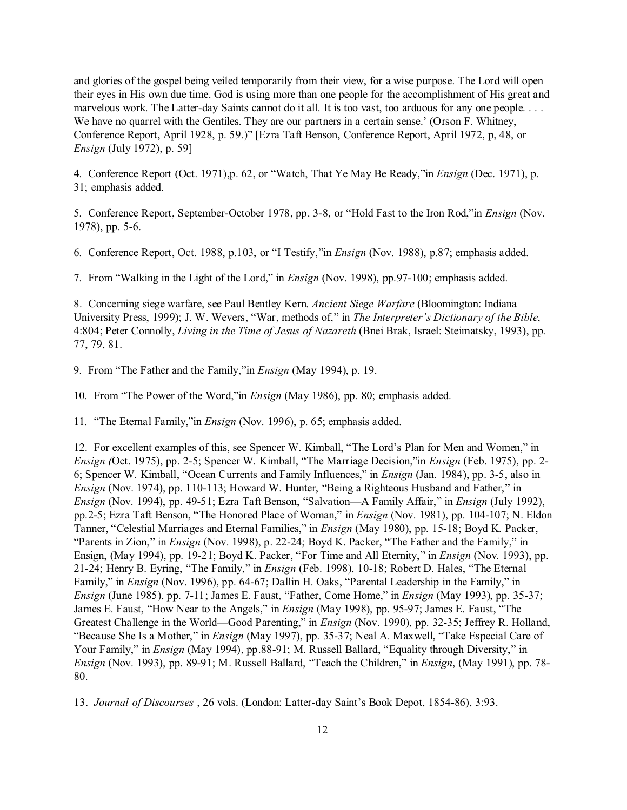and glories of the gospel being veiled temporarily from their view, for a wise purpose. The Lord will open their eyes in His own due time. God is using more than one people for the accomplishment of His great and marvelous work. The Latter-day Saints cannot do it all. It is too vast, too arduous for any one people. . . . We have no quarrel with the Gentiles. They are our partners in a certain sense.' (Orson F. Whitney, Conference Report, April 1928, p. 59.)" [Ezra Taft Benson, Conference Report, April 1972, p, 48, or *Ensign* (July 1972), p. 59]

4. Conference Report (Oct. 1971),p. 62, or "Watch, That Ye May Be Ready,"in *Ensign* (Dec. 1971), p. 31; emphasis added.

5. Conference Report, September-October 1978, pp. 3-8, or "Hold Fast to the Iron Rod,"in *Ensign* (Nov. 1978), pp. 5-6.

6. Conference Report, Oct. 1988, p.103, or "I Testify,"in *Ensign* (Nov. 1988), p.87; emphasis added.

7. From "Walking in the Light of the Lord," in *Ensign* (Nov. 1998), pp.97-100; emphasis added.

8. Concerning siege warfare, see Paul Bentley Kern. *Ancient Siege Warfare* (Bloomington: Indiana University Press, 1999); J. W. Wevers, "War, methods of," in *The Interpreter's Dictionary of the Bible*, 4:804; Peter Connolly, *Living in the Time of Jesus of Nazareth* (Bnei Brak, Israel: Steimatsky, 1993), pp. 77, 79, 81.

9. From "The Father and the Family,"in *Ensign* (May 1994), p. 19.

10. From "The Power of the Word,"in *Ensign* (May 1986), pp. 80; emphasis added.

11. "The Eternal Family,"in *Ensign* (Nov. 1996), p. 65; emphasis added.

12. For excellent examples of this, see Spencer W. Kimball, "The Lord's Plan for Men and Women," in *Ensign (*Oct. 1975), pp. 2-5; Spencer W. Kimball, "The Marriage Decision,"in *Ensign* (Feb. 1975), pp. 2- 6; Spencer W. Kimball, "Ocean Currents and Family Influences," in *Ensign* (Jan. 1984), pp. 3-5, also in *Ensign* (Nov. 1974), pp. 110-113; Howard W. Hunter, "Being a Righteous Husband and Father," in *Ensign* (Nov. 1994), pp. 49-51; Ezra Taft Benson, "Salvation—A Family Affair," in *Ensign* (July 1992), pp.2-5; Ezra Taft Benson, "The Honored Place of Woman," in *Ensign* (Nov. 1981), pp. 104-107; N. Eldon Tanner, "Celestial Marriages and Eternal Families," in *Ensign* (May 1980), pp. 15-18; Boyd K. Packer, "Parents in Zion," in *Ensign* (Nov. 1998), p. 22-24; Boyd K. Packer, "The Father and the Family," in Ensign, (May 1994), pp. 19-21; Boyd K. Packer, "For Time and All Eternity," in *Ensign* (Nov. 1993), pp. 21-24; Henry B. Eyring, "The Family," in *Ensign* (Feb. 1998), 10-18; Robert D. Hales, "The Eternal Family," in *Ensign* (Nov. 1996), pp. 64-67; Dallin H. Oaks, "Parental Leadership in the Family," in *Ensign* (June 1985), pp. 7-11; James E. Faust, "Father, Come Home," in *Ensign* (May 1993), pp. 35-37; James E. Faust, "How Near to the Angels," in *Ensign* (May 1998), pp. 95-97; James E. Faust, "The Greatest Challenge in the World—Good Parenting," in *Ensign* (Nov. 1990), pp. 32-35; Jeffrey R. Holland, "Because She Is a Mother," in *Ensign* (May 1997), pp. 35-37; Neal A. Maxwell, "Take Especial Care of Your Family," in *Ensign* (May 1994), pp.88-91; M. Russell Ballard, "Equality through Diversity," in *Ensign* (Nov. 1993), pp. 89-91; M. Russell Ballard, "Teach the Children," in *Ensign*, (May 1991), pp. 78- 80.

13. *Journal of Discourses* , 26 vols. (London: Latter-day Saint's Book Depot, 1854-86), 3:93.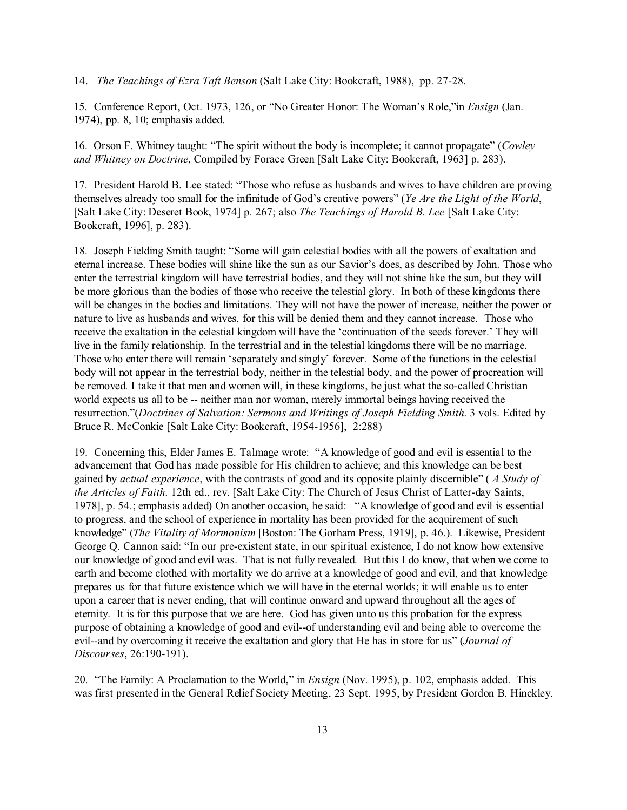14. *The Teachings of Ezra Taft Benson* (Salt Lake City: Bookcraft, 1988), pp. 27-28.

15. Conference Report, Oct. 1973, 126, or "No Greater Honor: The Woman's Role,"in *Ensign* (Jan. 1974), pp. 8, 10; emphasis added.

16. Orson F. Whitney taught: "The spirit without the body is incomplete; it cannot propagate" (*Cowley and Whitney on Doctrine*, Compiled by Forace Green [Salt Lake City: Bookcraft, 1963] p. 283).

17. President Harold B. Lee stated: "Those who refuse as husbands and wives to have children are proving themselves already too small for the infinitude of God's creative powers" (*Ye Are the Light of the World*, [Salt Lake City: Deseret Book, 1974] p. 267; also *The Teachings of Harold B. Lee* [Salt Lake City: Bookcraft, 1996], p. 283).

18. Joseph Fielding Smith taught: "Some will gain celestial bodies with all the powers of exaltation and eternal increase. These bodies will shine like the sun as our Savior's does, as described by John. Those who enter the terrestrial kingdom will have terrestrial bodies, and they will not shine like the sun, but they will be more glorious than the bodies of those who receive the telestial glory. In both of these kingdoms there will be changes in the bodies and limitations. They will not have the power of increase, neither the power or nature to live as husbands and wives, for this will be denied them and they cannot increase. Those who receive the exaltation in the celestial kingdom will have the 'continuation of the seeds forever.' They will live in the family relationship. In the terrestrial and in the telestial kingdoms there will be no marriage. Those who enter there will remain 'separately and singly' forever. Some of the functions in the celestial body will not appear in the terrestrial body, neither in the telestial body, and the power of procreation will be removed. I take it that men and women will, in these kingdoms, be just what the so-called Christian world expects us all to be -- neither man nor woman, merely immortal beings having received the resurrection."(*Doctrines of Salvation: Sermons and Writings of Joseph Fielding Smith*. 3 vols. Edited by Bruce R. McConkie [Salt Lake City: Bookcraft, 1954-1956], 2:288)

19. Concerning this, Elder James E. Talmage wrote: "A knowledge of good and evil is essential to the advancement that God has made possible for His children to achieve; and this knowledge can be best gained by *actual experience*, with the contrasts of good and its opposite plainly discernible" ( *A Study of the Articles of Faith*. 12th ed., rev. [Salt Lake City: The Church of Jesus Christ of Latter-day Saints, 1978], p. 54.; emphasis added) On another occasion, he said: "A knowledge of good and evil is essential to progress, and the school of experience in mortality has been provided for the acquirement of such knowledge" (*The Vitality of Mormonism* [Boston: The Gorham Press, 1919], p. 46.). Likewise, President George Q. Cannon said: "In our pre-existent state, in our spiritual existence, I do not know how extensive our knowledge of good and evil was. That is not fully revealed. But this I do know, that when we come to earth and become clothed with mortality we do arrive at a knowledge of good and evil, and that knowledge prepares us for that future existence which we will have in the eternal worlds; it will enable us to enter upon a career that is never ending, that will continue onward and upward throughout all the ages of eternity. It is for this purpose that we are here. God has given unto us this probation for the express purpose of obtaining a knowledge of good and evil--of understanding evil and being able to overcome the evil--and by overcoming it receive the exaltation and glory that He has in store for us" (*Journal of Discourses*, 26:190-191).

20. "The Family: A Proclamation to the World," in *Ensign* (Nov. 1995), p. 102, emphasis added. This was first presented in the General Relief Society Meeting, 23 Sept. 1995, by President Gordon B. Hinckley.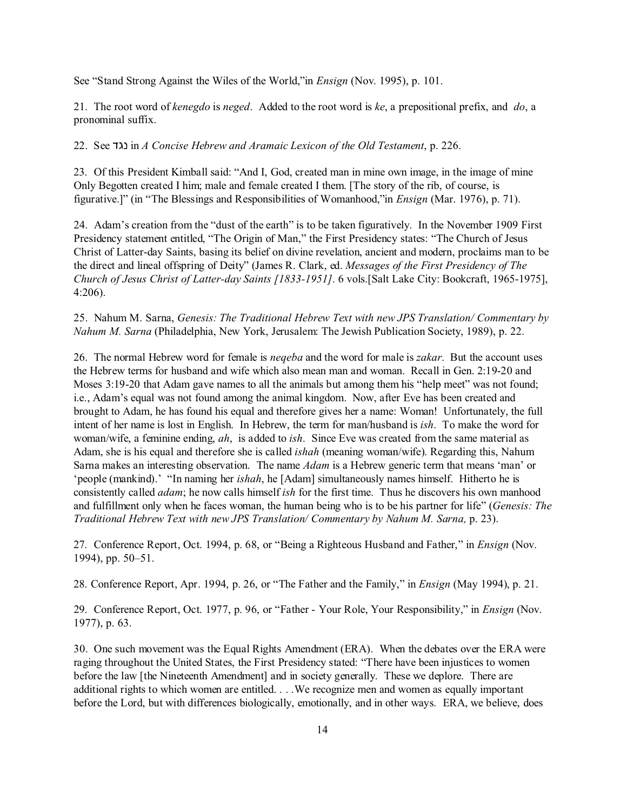See "Stand Strong Against the Wiles of the World,"in *Ensign* (Nov. 1995), p. 101.

21. The root word of *kenegdo* is *neged*. Added to the root word is *ke*, a prepositional prefix, and *do*, a pronominal suffix.

22. See \$#1 in *A Concise Hebrew and Aramaic Lexicon of the Old Testament*, p. 226.

23. Of this President Kimball said: "And I, God, created man in mine own image, in the image of mine Only Begotten created I him; male and female created I them. [The story of the rib, of course, is figurative.]" (in "The Blessings and Responsibilities of Womanhood,"in *Ensign* (Mar. 1976), p. 71).

24. Adam's creation from the "dust of the earth" is to be taken figuratively. In the November 1909 First Presidency statement entitled, "The Origin of Man," the First Presidency states: "The Church of Jesus Christ of Latter-day Saints, basing its belief on divine revelation, ancient and modern, proclaims man to be the direct and lineal offspring of Deity" (James R. Clark, ed. *Messages of the First Presidency of The Church of Jesus Christ of Latter-day Saints [1833-1951]*. 6 vols.[Salt Lake City: Bookcraft, 1965-1975], 4:206).

25. Nahum M. Sarna, *Genesis: The Traditional Hebrew Text with new JPS Translation/ Commentary by Nahum M. Sarna* (Philadelphia, New York, Jerusalem: The Jewish Publication Society, 1989), p. 22.

26. The normal Hebrew word for female is *neqeba* and the word for male is *zakar*. But the account uses the Hebrew terms for husband and wife which also mean man and woman. Recall in Gen. 2:19-20 and Moses 3:19-20 that Adam gave names to all the animals but among them his "help meet" was not found; i.e., Adam's equal was not found among the animal kingdom. Now, after Eve has been created and brought to Adam, he has found his equal and therefore gives her a name: Woman! Unfortunately, the full intent of her name is lost in English. In Hebrew, the term for man/husband is *ish*. To make the word for woman/wife, a feminine ending, *ah*, is added to *ish*. Since Eve was created from the same material as Adam, she is his equal and therefore she is called *ishah* (meaning woman/wife). Regarding this, Nahum Sarna makes an interesting observation. The name *Adam* is a Hebrew generic term that means 'man' or 'people (mankind).' "In naming her *ishah*, he [Adam] simultaneously names himself. Hitherto he is consistently called *adam*; he now calls himself *ish* for the first time. Thus he discovers his own manhood and fulfillment only when he faces woman, the human being who is to be his partner for life" (*Genesis: The Traditional Hebrew Text with new JPS Translation/ Commentary by Nahum M. Sarna,* p. 23).

27. Conference Report, Oct. 1994, p. 68, or "Being a Righteous Husband and Father," in *Ensign* (Nov. 1994), pp. 50–51.

28. Conference Report, Apr. 1994, p. 26, or "The Father and the Family," in *Ensign* (May 1994), p. 21.

29. Conference Report, Oct. 1977, p. 96, or "Father - Your Role, Your Responsibility," in *Ensign* (Nov. 1977), p. 63.

30. One such movement was the Equal Rights Amendment (ERA). When the debates over the ERA were raging throughout the United States, the First Presidency stated: "There have been injustices to women before the law [the Nineteenth Amendment] and in society generally. These we deplore. There are additional rights to which women are entitled. . . .We recognize men and women as equally important before the Lord, but with differences biologically, emotionally, and in other ways. ERA, we believe, does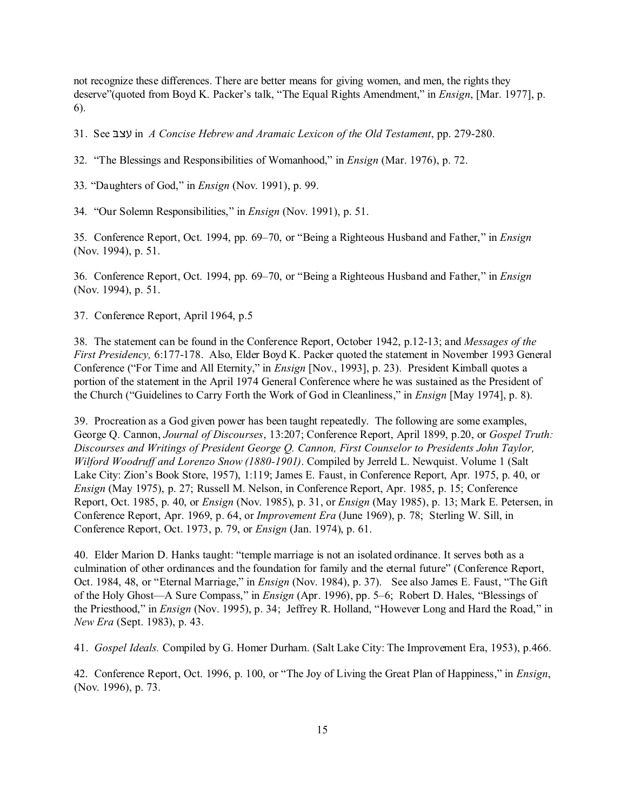not recognize these differences. There are better means for giving women, and men, the rights they deserve"(quoted from Boyd K. Packer's talk, "The Equal Rights Amendment," in *Ensign*, [Mar. 1977], p. 6).

31. See v73 in *A Concise Hebrew and Aramaic Lexicon of the Old Testament*, pp. 279-280.

32. "The Blessings and Responsibilities of Womanhood," in *Ensign* (Mar. 1976), p. 72.

33. "Daughters of God," in *Ensign* (Nov. 1991), p. 99.

34. "Our Solemn Responsibilities," in *Ensign* (Nov. 1991), p. 51.

35. Conference Report, Oct. 1994, pp. 69–70, or "Being a Righteous Husband and Father," in *Ensign* (Nov. 1994), p. 51.

36. Conference Report, Oct. 1994, pp. 69–70, or "Being a Righteous Husband and Father," in *Ensign* (Nov. 1994), p. 51.

37. Conference Report, April 1964, p.5

38. The statement can be found in the Conference Report, October 1942, p.12-13; and *Messages of the First Presidency,* 6:177-178. Also, Elder Boyd K. Packer quoted the statement in November 1993 General Conference ("For Time and All Eternity," in *Ensign* [Nov., 1993], p. 23). President Kimball quotes a portion of the statement in the April 1974 General Conference where he was sustained as the President of the Church ("Guidelines to Carry Forth the Work of God in Cleanliness," in *Ensign* [May 1974], p. 8).

39. Procreation as a God given power has been taught repeatedly. The following are some examples, George Q. Cannon, *Journal of Discourses*, 13:207; Conference Report, April 1899, p.20, or *Gospel Truth: Discourses and Writings of President George Q. Cannon, First Counselor to Presidents John Taylor, Wilford Woodruff and Lorenzo Snow (1880-1901)*. Compiled by Jerreld L. Newquist. Volume 1 (Salt Lake City: Zion's Book Store, 1957), 1:119; James E. Faust, in Conference Report, Apr. 1975, p. 40, or *Ensign* (May 1975), p. 27; Russell M. Nelson, in Conference Report, Apr. 1985, p. 15; Conference Report, Oct. 1985, p. 40, or *Ensign* (Nov. 1985), p. 31, or *Ensign* (May 1985), p. 13; Mark E. Petersen, in Conference Report, Apr. 1969, p. 64, or *Improvement Era* (June 1969), p. 78; Sterling W. Sill, in Conference Report, Oct. 1973, p. 79, or *Ensign* (Jan. 1974), p. 61.

40. Elder Marion D. Hanks taught: "temple marriage is not an isolated ordinance. It serves both as a culmination of other ordinances and the foundation for family and the eternal future" (Conference Report, Oct. 1984, 48, or "Eternal Marriage," in *Ensign* (Nov. 1984), p. 37). See also James E. Faust, "The Gift of the Holy Ghost—A Sure Compass," in *Ensign* (Apr. 1996), pp. 5–6; Robert D. Hales, "Blessings of the Priesthood," in *Ensign* (Nov. 1995), p. 34; Jeffrey R. Holland, "However Long and Hard the Road," in *New Era* (Sept. 1983), p. 43.

41. *Gospel Ideals.* Compiled by G. Homer Durham. (Salt Lake City: The Improvement Era, 1953), p.466.

42. Conference Report, Oct. 1996, p. 100, or "The Joy of Living the Great Plan of Happiness," in *Ensign*, (Nov. 1996), p. 73.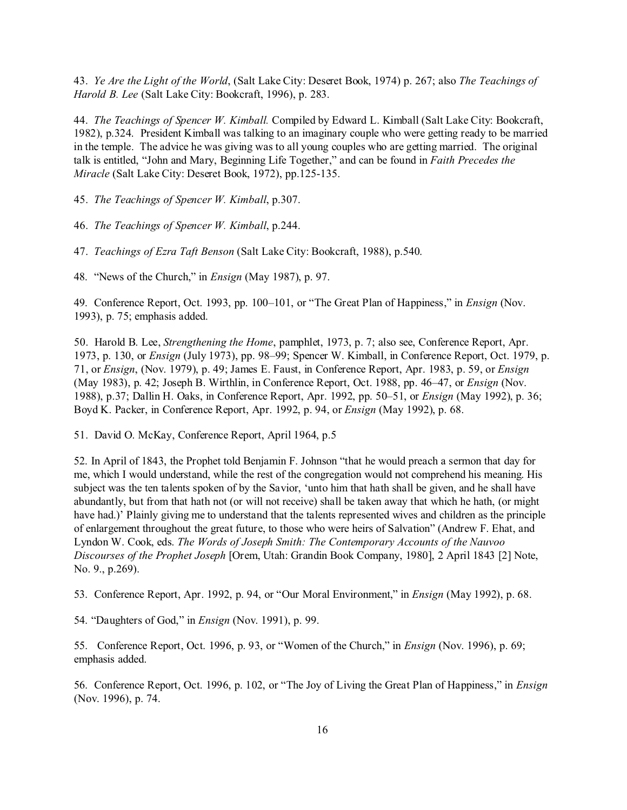43. *Ye Are the Light of the World*, (Salt Lake City: Deseret Book, 1974) p. 267; also *The Teachings of Harold B. Lee* (Salt Lake City: Bookcraft, 1996), p. 283.

44. *The Teachings of Spencer W. Kimball.* Compiled by Edward L. Kimball (Salt Lake City: Bookcraft, 1982), p.324. President Kimball was talking to an imaginary couple who were getting ready to be married in the temple. The advice he was giving was to all young couples who are getting married. The original talk is entitled, "John and Mary, Beginning Life Together," and can be found in *Faith Precedes the Miracle* (Salt Lake City: Deseret Book, 1972), pp.125-135.

45. *The Teachings of Spencer W. Kimball*, p.307.

46. *The Teachings of Spencer W. Kimball*, p.244.

47. *Teachings of Ezra Taft Benson* (Salt Lake City: Bookcraft, 1988), p.540.

48. "News of the Church," in *Ensign* (May 1987), p. 97.

49. Conference Report, Oct. 1993, pp. 100–101, or "The Great Plan of Happiness," in *Ensign* (Nov. 1993), p. 75; emphasis added.

50. Harold B. Lee, *Strengthening the Home*, pamphlet, 1973, p. 7; also see, Conference Report, Apr. 1973, p. 130, or *Ensign* (July 1973), pp. 98–99; Spencer W. Kimball, in Conference Report, Oct. 1979, p. 71, or *Ensign*, (Nov. 1979), p. 49; James E. Faust, in Conference Report, Apr. 1983, p. 59, or *Ensign* (May 1983), p. 42; Joseph B. Wirthlin, in Conference Report, Oct. 1988, pp. 46–47, or *Ensign* (Nov. 1988), p.37; Dallin H. Oaks, in Conference Report, Apr. 1992, pp. 50–51, or *Ensign* (May 1992), p. 36; Boyd K. Packer, in Conference Report, Apr. 1992, p. 94, or *Ensign* (May 1992), p. 68.

51. David O. McKay, Conference Report, April 1964, p.5

52. In April of 1843, the Prophet told Benjamin F. Johnson "that he would preach a sermon that day for me, which I would understand, while the rest of the congregation would not comprehend his meaning. His subject was the ten talents spoken of by the Savior, 'unto him that hath shall be given, and he shall have abundantly, but from that hath not (or will not receive) shall be taken away that which he hath, (or might have had.)' Plainly giving me to understand that the talents represented wives and children as the principle of enlargement throughout the great future, to those who were heirs of Salvation" (Andrew F. Ehat, and Lyndon W. Cook, eds. *The Words of Joseph Smith: The Contemporary Accounts of the Nauvoo Discourses of the Prophet Joseph* [Orem, Utah: Grandin Book Company, 1980], 2 April 1843 [2] Note, No. 9., p.269).

53. Conference Report, Apr. 1992, p. 94, or "Our Moral Environment," in *Ensign* (May 1992), p. 68.

54. "Daughters of God," in *Ensign* (Nov. 1991), p. 99.

55. Conference Report, Oct. 1996, p. 93, or "Women of the Church," in *Ensign* (Nov. 1996), p. 69; emphasis added.

56. Conference Report, Oct. 1996, p. 102, or "The Joy of Living the Great Plan of Happiness," in *Ensign* (Nov. 1996), p. 74.